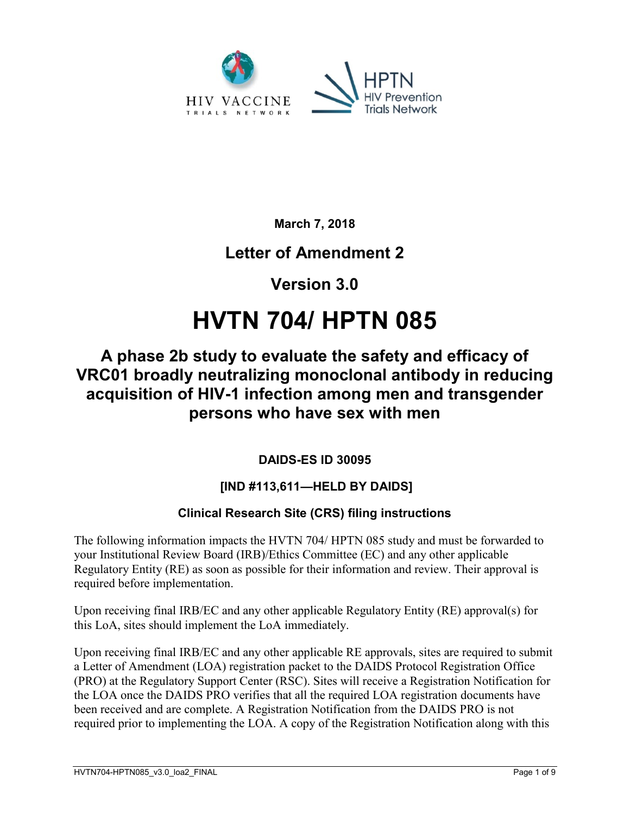

**March 7, 2018**

# **Letter of Amendment 2**

# **Version 3.0**

# **HVTN 704/ HPTN 085**

# **A phase 2b study to evaluate the safety and efficacy of VRC01 broadly neutralizing monoclonal antibody in reducing acquisition of HIV-1 infection among men and transgender persons who have sex with men**

### **DAIDS-ES ID 30095**

### **[IND #113,611—HELD BY DAIDS]**

### **Clinical Research Site (CRS) filing instructions**

The following information impacts the HVTN 704/ HPTN 085 study and must be forwarded to your Institutional Review Board (IRB)/Ethics Committee (EC) and any other applicable Regulatory Entity (RE) as soon as possible for their information and review. Their approval is required before implementation.

Upon receiving final IRB/EC and any other applicable Regulatory Entity (RE) approval(s) for this LoA, sites should implement the LoA immediately.

Upon receiving final IRB/EC and any other applicable RE approvals, sites are required to submit a Letter of Amendment (LOA) registration packet to the DAIDS Protocol Registration Office (PRO) at the Regulatory Support Center (RSC). Sites will receive a Registration Notification for the LOA once the DAIDS PRO verifies that all the required LOA registration documents have been received and are complete. A Registration Notification from the DAIDS PRO is not required prior to implementing the LOA. A copy of the Registration Notification along with this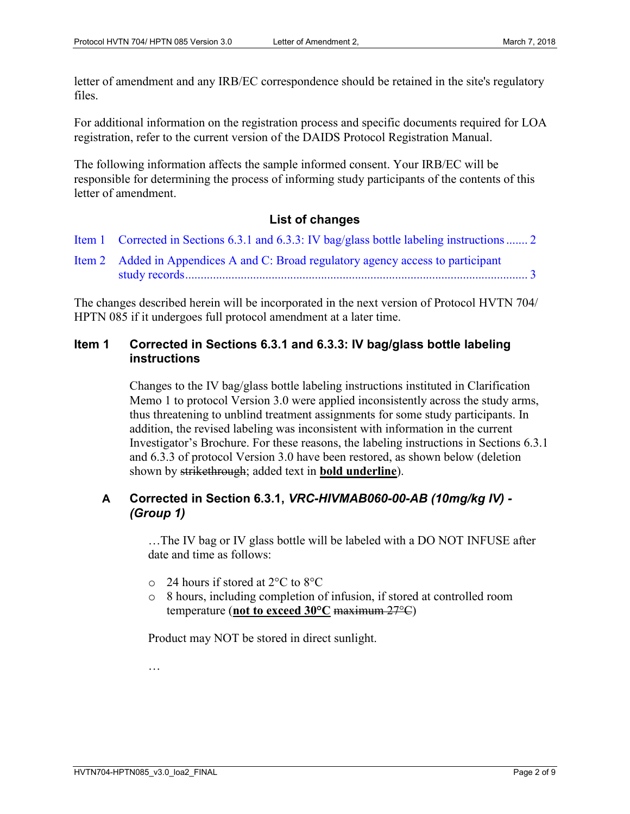letter of amendment and any IRB/EC correspondence should be retained in the site's regulatory files.

For additional information on the registration process and specific documents required for LOA registration, refer to the current version of the DAIDS Protocol Registration Manual.

The following information affects the sample informed consent. Your IRB/EC will be responsible for determining the process of informing study participants of the contents of this letter of amendment.

#### **List of changes**

- Item 1 [Corrected in Sections 6.3.1 and 6.3.3: IV bag/glass bottle labeling instructions.......](#page-1-0) 2
- Item 2 [Added in Appendices A and C: Broad regulatory agency access to participant](#page-2-0)  [study records...............................................................................................................](#page-2-0) 3

The changes described herein will be incorporated in the next version of Protocol HVTN 704/ HPTN 085 if it undergoes full protocol amendment at a later time.

#### <span id="page-1-0"></span>**Item 1 Corrected in Sections 6.3.1 and 6.3.3: IV bag/glass bottle labeling instructions**

Changes to the IV bag/glass bottle labeling instructions instituted in Clarification Memo 1 to protocol Version 3.0 were applied inconsistently across the study arms, thus threatening to unblind treatment assignments for some study participants. In addition, the revised labeling was inconsistent with information in the current Investigator's Brochure. For these reasons, the labeling instructions in Sections 6.3.1 and 6.3.3 of protocol Version 3.0 have been restored, as shown below (deletion shown by strikethrough; added text in **bold underline**).

#### **A Corrected in Section 6.3.1,** *VRC-HIVMAB060-00-AB (10mg/kg IV) - (Group 1)*

…The IV bag or IV glass bottle will be labeled with a DO NOT INFUSE after date and time as follows:

- o 24 hours if stored at 2°C to 8°C
- o 8 hours, including completion of infusion, if stored at controlled room temperature (**not to exceed 30°C** maximum 27°C)

Product may NOT be stored in direct sunlight.

…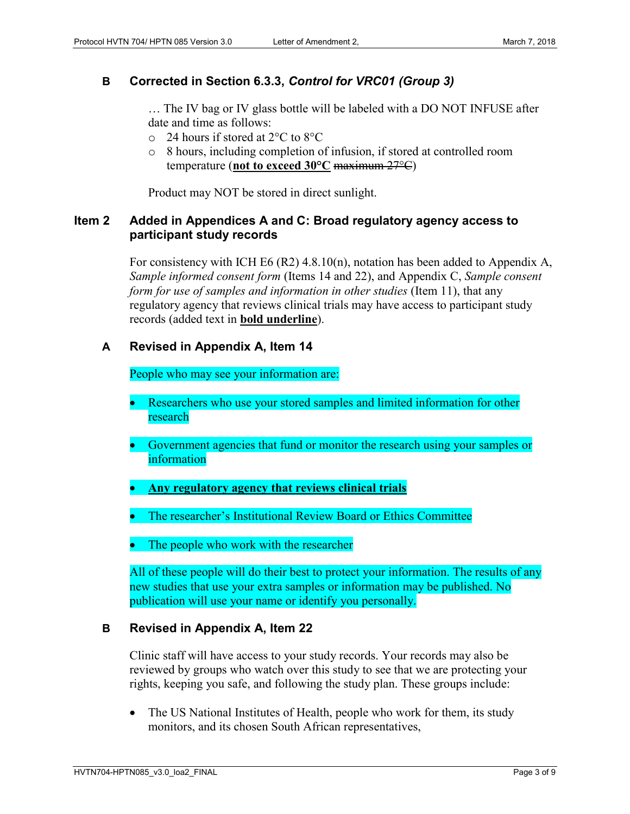#### **B Corrected in Section 6.3.3,** *Control for VRC01 (Group 3)*

… The IV bag or IV glass bottle will be labeled with a DO NOT INFUSE after date and time as follows:

- o 24 hours if stored at 2°C to 8°C
- o 8 hours, including completion of infusion, if stored at controlled room temperature (**not to exceed 30°C** maximum 27°C)

Product may NOT be stored in direct sunlight.

#### <span id="page-2-0"></span>**Item 2 Added in Appendices A and C: Broad regulatory agency access to participant study records**

For consistency with ICH E6 (R2) 4.8.10(n), notation has been added to Appendix A, *Sample informed consent form* (Items 14 and 22), and Appendix C, *Sample consent form for use of samples and information in other studies* (Item 11), that any regulatory agency that reviews clinical trials may have access to participant study records (added text in **bold underline**).

#### **A Revised in Appendix A, Item 14**

People who may see your information are:

- Researchers who use your stored samples and limited information for other research
- Government agencies that fund or monitor the research using your samples or information
- **Any regulatory agency that reviews clinical trials**
- The researcher's Institutional Review Board or Ethics Committee
- The people who work with the researcher

All of these people will do their best to protect your information. The results of any new studies that use your extra samples or information may be published. No publication will use your name or identify you personally.

#### **B Revised in Appendix A, Item 22**

Clinic staff will have access to your study records. Your records may also be reviewed by groups who watch over this study to see that we are protecting your rights, keeping you safe, and following the study plan. These groups include:

• The US National Institutes of Health, people who work for them, its study monitors, and its chosen South African representatives,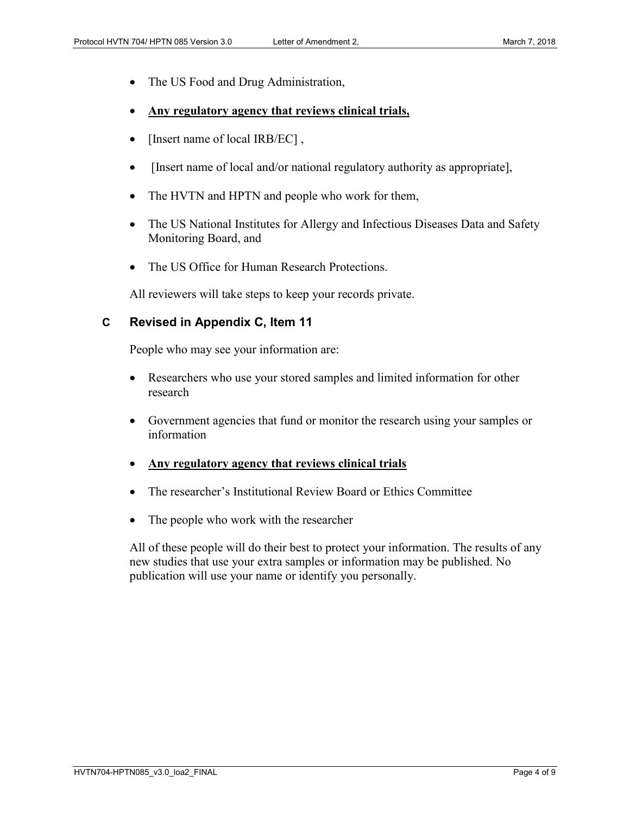- The US Food and Drug Administration,
- **Any regulatory agency that reviews clinical trials,**
- [Insert name of local IRB/EC],
- [Insert name of local and/or national regulatory authority as appropriate],
- The HVTN and HPTN and people who work for them,
- The US National Institutes for Allergy and Infectious Diseases Data and Safety Monitoring Board, and
- The US Office for Human Research Protections.

All reviewers will take steps to keep your records private.

#### **C Revised in Appendix C, Item 11**

People who may see your information are:

- Researchers who use your stored samples and limited information for other research
- Government agencies that fund or monitor the research using your samples or information
- **Any regulatory agency that reviews clinical trials**
- The researcher's Institutional Review Board or Ethics Committee
- The people who work with the researcher

All of these people will do their best to protect your information. The results of any new studies that use your extra samples or information may be published. No publication will use your name or identify you personally.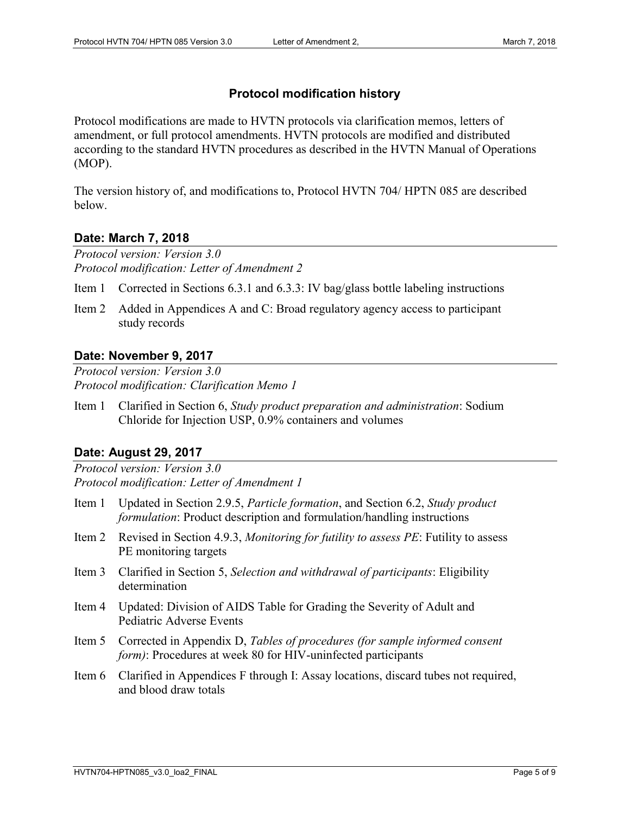#### **Protocol modification history**

Protocol modifications are made to HVTN protocols via clarification memos, letters of amendment, or full protocol amendments. HVTN protocols are modified and distributed according to the standard HVTN procedures as described in the HVTN Manual of Operations (MOP).

The version history of, and modifications to, Protocol HVTN 704/ HPTN 085 are described below.

#### **Date: March 7, 2018**

*Protocol version: Version 3.0 Protocol modification: Letter of Amendment 2*

Item 1 Corrected in Sections 6.3.1 and 6.3.3: IV bag/glass bottle labeling instructions

Item 2 Added in Appendices A and C: Broad regulatory agency access to participant study records

#### **Date: November 9, 2017**

*Protocol version: Version 3.0 Protocol modification: Clarification Memo 1*

Item 1 Clarified in Section 6, *Study product preparation and administration*: Sodium Chloride for Injection USP, 0.9% containers and volumes

#### **Date: August 29, 2017**

*Protocol version: Version 3.0 Protocol modification: Letter of Amendment 1*

- Item 1 Updated in Section 2.9.5, *Particle formation*, and Section 6.2, *Study product formulation*: Product description and formulation/handling instructions
- Item 2 Revised in Section 4.9.3, *Monitoring for futility to assess PE*: Futility to assess PE monitoring targets
- Item 3 Clarified in Section 5, *Selection and withdrawal of participants*: Eligibility determination
- Item 4 Updated: Division of AIDS Table for Grading the Severity of Adult and Pediatric Adverse Events
- Item 5 Corrected in Appendix D, *Tables of procedures (for sample informed consent form*): Procedures at week 80 for HIV-uninfected participants
- Item 6 Clarified in Appendices F through I: Assay locations, discard tubes not required, and blood draw totals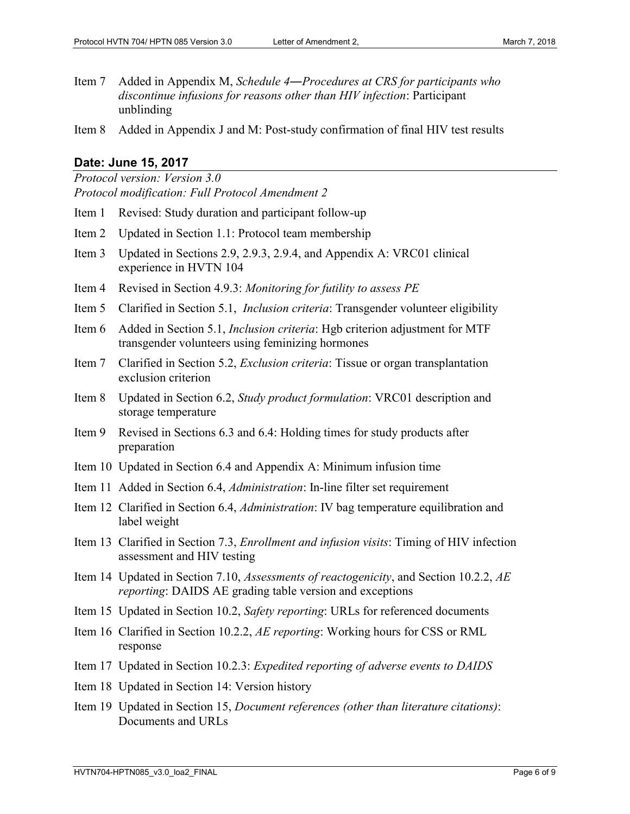Item 7 Added in Appendix M, *Schedule 4―Procedures at CRS for participants who discontinue infusions for reasons other than HIV infection*: Participant unblinding

Item 8 Added in Appendix J and M: Post-study confirmation of final HIV test results

#### **Date: June 15, 2017**

- *Protocol version: Version 3.0 Protocol modification: Full Protocol Amendment 2*
- Item 1 Revised: Study duration and participant follow-up
- Item 2 Updated in Section 1.1: Protocol team membership
- Item 3 Updated in Sections 2.9, 2.9.3, 2.9.4, and Appendix A: VRC01 clinical experience in HVTN 104
- Item 4 Revised in Section 4.9.3: *Monitoring for futility to assess PE*
- Item 5 Clarified in Section 5.1, *Inclusion criteria*: Transgender volunteer eligibility
- Item 6 Added in Section 5.1, *Inclusion criteria*: Hgb criterion adjustment for MTF transgender volunteers using feminizing hormones
- Item 7 Clarified in Section 5.2, *Exclusion criteria*: Tissue or organ transplantation exclusion criterion
- Item 8 Updated in Section 6.2, *Study product formulation*: VRC01 description and storage temperature
- Item 9 Revised in Sections 6.3 and 6.4: Holding times for study products after preparation
- Item 10 Updated in Section 6.4 and Appendix A: Minimum infusion time
- Item 11 Added in Section 6.4, *Administration*: In-line filter set requirement
- Item 12 Clarified in Section 6.4, *Administration*: IV bag temperature equilibration and label weight
- Item 13 Clarified in Section 7.3, *Enrollment and infusion visits*: Timing of HIV infection assessment and HIV testing
- Item 14 Updated in Section 7.10, *Assessments of reactogenicity*, and Section 10.2.2, *AE reporting*: DAIDS AE grading table version and exceptions
- Item 15 Updated in Section 10.2, *Safety reporting*: URLs for referenced documents
- Item 16 Clarified in Section 10.2.2, *AE reporting*: Working hours for CSS or RML response
- Item 17 Updated in Section 10.2.3: *Expedited reporting of adverse events to DAIDS*
- Item 18 Updated in Section 14: Version history
- Item 19 Updated in Section 15, *Document references (other than literature citations)*: Documents and URLs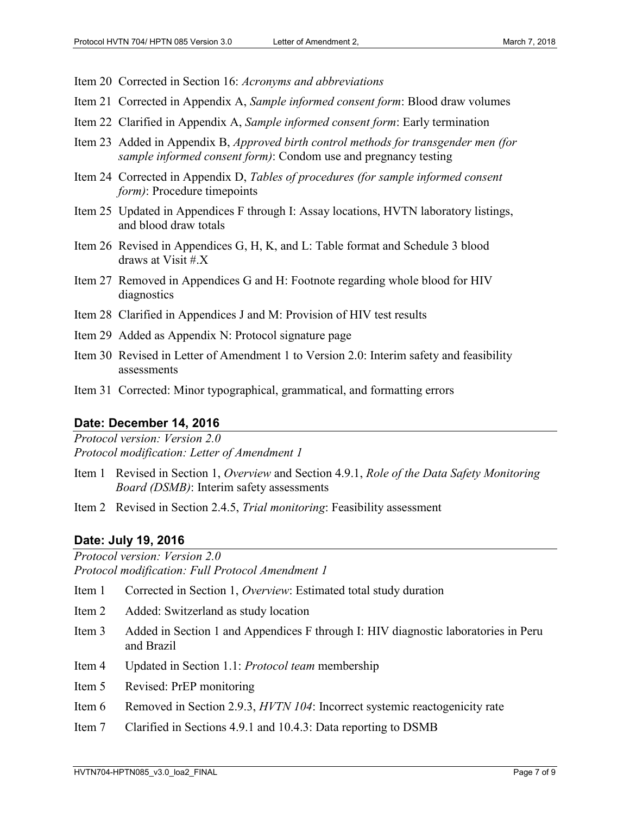- Item 20 Corrected in Section 16: *Acronyms and abbreviations*
- Item 21 Corrected in Appendix A, *Sample informed consent form*: Blood draw volumes
- Item 22 Clarified in Appendix A, *Sample informed consent form*: Early termination
- Item 23 Added in Appendix B, *Approved birth control methods for transgender men (for sample informed consent form)*: Condom use and pregnancy testing
- Item 24 Corrected in Appendix D, *Tables of procedures (for sample informed consent form*): Procedure timepoints
- Item 25 Updated in Appendices F through I: Assay locations, HVTN laboratory listings, and blood draw totals
- Item 26 Revised in Appendices G, H, K, and L: Table format and Schedule 3 blood draws at Visit #.X
- Item 27 Removed in Appendices G and H: Footnote regarding whole blood for HIV diagnostics
- Item 28 Clarified in Appendices J and M: Provision of HIV test results
- Item 29 Added as Appendix N: Protocol signature page
- Item 30 Revised in Letter of Amendment 1 to Version 2.0: Interim safety and feasibility assessments
- Item 31 Corrected: Minor typographical, grammatical, and formatting errors

#### **Date: December 14, 2016**

*Protocol version: Version 2.0 Protocol modification: Letter of Amendment 1*

- Item 1 Revised in Section 1, *Overview* and Section 4.9.1, *Role of the Data Safety Monitoring Board (DSMB)*: Interim safety assessments
- Item 2 Revised in Section 2.4.5, *Trial monitoring*: Feasibility assessment

#### **Date: July 19, 2016**

*Protocol version: Version 2.0*

*Protocol modification: Full Protocol Amendment 1*

- Item 1 Corrected in Section 1, *Overview*: Estimated total study duration
- Item 2 Added: Switzerland as study location
- Item 3 Added in Section 1 and Appendices F through I: HIV diagnostic laboratories in Peru and Brazil
- Item 4 Updated in Section 1.1: *Protocol team* membership
- Item 5 Revised: PrEP monitoring
- Item 6 Removed in Section 2.9.3, *HVTN 104*: Incorrect systemic reactogenicity rate
- Item 7 Clarified in Sections 4.9.1 and 10.4.3: Data reporting to DSMB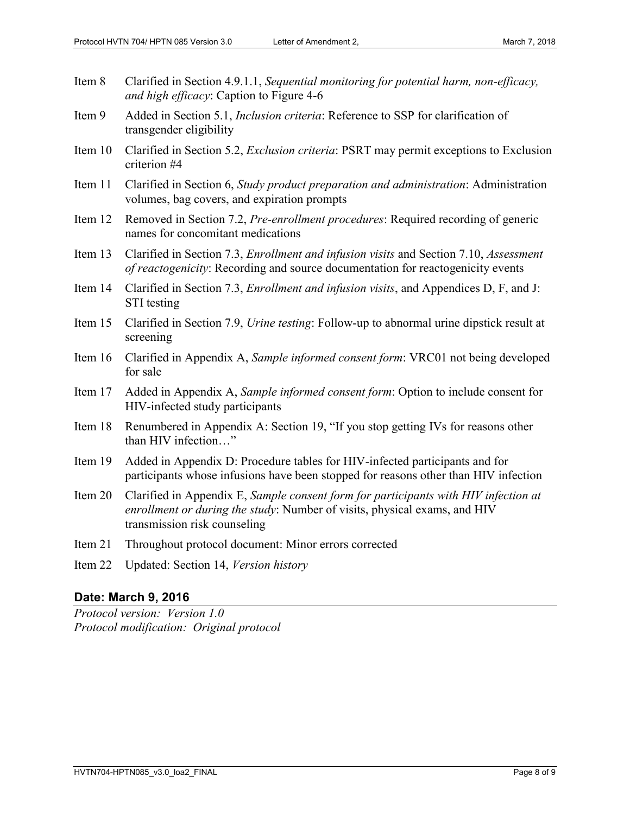| Item 8  | Clarified in Section 4.9.1.1, Sequential monitoring for potential harm, non-efficacy,<br>and high efficacy: Caption to Figure 4-6                                                                |
|---------|--------------------------------------------------------------------------------------------------------------------------------------------------------------------------------------------------|
| Item 9  | Added in Section 5.1, <i>Inclusion criteria</i> : Reference to SSP for clarification of<br>transgender eligibility                                                                               |
| Item 10 | Clarified in Section 5.2, <i>Exclusion criteria</i> : PSRT may permit exceptions to Exclusion<br>criterion #4                                                                                    |
| Item 11 | Clarified in Section 6, Study product preparation and administration: Administration<br>volumes, bag covers, and expiration prompts                                                              |
| Item 12 | Removed in Section 7.2, Pre-enrollment procedures: Required recording of generic<br>names for concomitant medications                                                                            |
| Item 13 | Clarified in Section 7.3, Enrollment and infusion visits and Section 7.10, Assessment<br>of reactogenicity: Recording and source documentation for reactogenicity events                         |
| Item 14 | Clarified in Section 7.3, <i>Enrollment and infusion visits</i> , and Appendices D, F, and J:<br>STI testing                                                                                     |
| Item 15 | Clarified in Section 7.9, Urine testing: Follow-up to abnormal urine dipstick result at<br>screening                                                                                             |
| Item 16 | Clarified in Appendix A, Sample informed consent form: VRC01 not being developed<br>for sale                                                                                                     |
| Item 17 | Added in Appendix A, Sample informed consent form: Option to include consent for<br>HIV-infected study participants                                                                              |
| Item 18 | Renumbered in Appendix A: Section 19, "If you stop getting IVs for reasons other<br>than HIV infection"                                                                                          |
| Item 19 | Added in Appendix D: Procedure tables for HIV-infected participants and for<br>participants whose infusions have been stopped for reasons other than HIV infection                               |
| Item 20 | Clarified in Appendix E, Sample consent form for participants with HIV infection at<br>enrollment or during the study: Number of visits, physical exams, and HIV<br>transmission risk counseling |
| Item 21 | Throughout protocol document: Minor errors corrected                                                                                                                                             |
| Item 22 | Updated: Section 14, Version history                                                                                                                                                             |
|         |                                                                                                                                                                                                  |

### **Date: March 9, 2016**

*Protocol version: Version 1.0 Protocol modification: Original protocol*